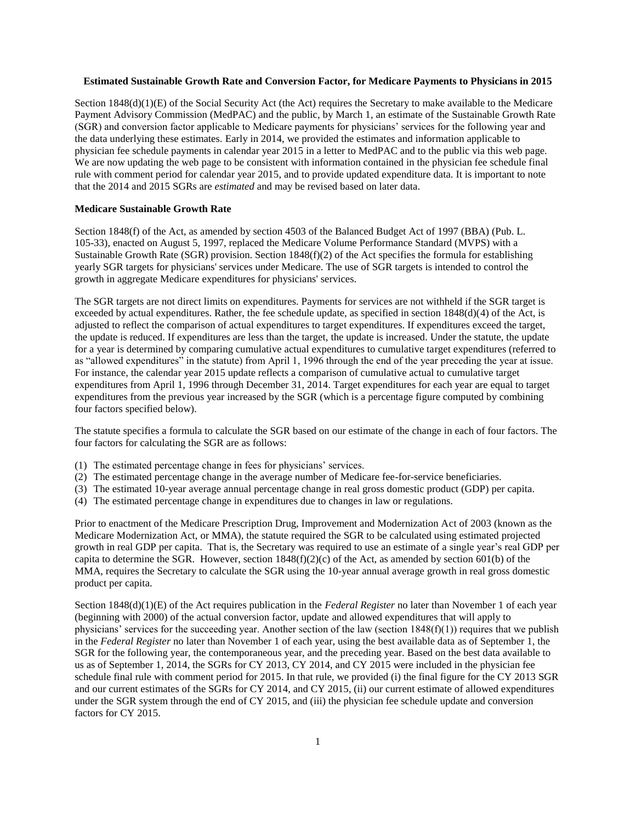# **Estimated Sustainable Growth Rate and Conversion Factor, for Medicare Payments to Physicians in 2015**

Section 1848(d)(1)(E) of the Social Security Act (the Act) requires the Secretary to make available to the Medicare Payment Advisory Commission (MedPAC) and the public, by March 1, an estimate of the Sustainable Growth Rate (SGR) and conversion factor applicable to Medicare payments for physicians' services for the following year and the data underlying these estimates. Early in 2014, we provided the estimates and information applicable to physician fee schedule payments in calendar year 2015 in a letter to MedPAC and to the public via this web page. We are now updating the web page to be consistent with information contained in the physician fee schedule final rule with comment period for calendar year 2015, and to provide updated expenditure data. It is important to note that the 2014 and 2015 SGRs are *estimated* and may be revised based on later data.

#### **Medicare Sustainable Growth Rate**

Section 1848(f) of the Act, as amended by section 4503 of the Balanced Budget Act of 1997 (BBA) (Pub. L. 105-33), enacted on August 5, 1997, replaced the Medicare Volume Performance Standard (MVPS) with a Sustainable Growth Rate (SGR) provision. Section 1848(f)(2) of the Act specifies the formula for establishing yearly SGR targets for physicians' services under Medicare. The use of SGR targets is intended to control the growth in aggregate Medicare expenditures for physicians' services.

The SGR targets are not direct limits on expenditures. Payments for services are not withheld if the SGR target is exceeded by actual expenditures. Rather, the fee schedule update, as specified in section  $1848(d)(4)$  of the Act, is adjusted to reflect the comparison of actual expenditures to target expenditures. If expenditures exceed the target, the update is reduced. If expenditures are less than the target, the update is increased. Under the statute, the update for a year is determined by comparing cumulative actual expenditures to cumulative target expenditures (referred to as "allowed expenditures" in the statute) from April 1, 1996 through the end of the year preceding the year at issue. For instance, the calendar year 2015 update reflects a comparison of cumulative actual to cumulative target expenditures from April 1, 1996 through December 31, 2014. Target expenditures for each year are equal to target expenditures from the previous year increased by the SGR (which is a percentage figure computed by combining four factors specified below).

The statute specifies a formula to calculate the SGR based on our estimate of the change in each of four factors. The four factors for calculating the SGR are as follows:

- (1) The estimated percentage change in fees for physicians' services.
- (2) The estimated percentage change in the average number of Medicare fee-for-service beneficiaries.
- (3) The estimated 10-year average annual percentage change in real gross domestic product (GDP) per capita.
- (4) The estimated percentage change in expenditures due to changes in law or regulations.

Prior to enactment of the Medicare Prescription Drug, Improvement and Modernization Act of 2003 (known as the Medicare Modernization Act, or MMA), the statute required the SGR to be calculated using estimated projected growth in real GDP per capita. That is, the Secretary was required to use an estimate of a single year's real GDP per capita to determine the SGR. However, section  $1848(f)(2)(c)$  of the Act, as amended by section 601(b) of the MMA, requires the Secretary to calculate the SGR using the 10-year annual average growth in real gross domestic product per capita.

Section 1848(d)(1)(E) of the Act requires publication in the *Federal Register* no later than November 1 of each year (beginning with 2000) of the actual conversion factor, update and allowed expenditures that will apply to physicians' services for the succeeding year. Another section of the law (section  $1848(f)(1)$ ) requires that we publish in the *Federal Register* no later than November 1 of each year, using the best available data as of September 1, the SGR for the following year, the contemporaneous year, and the preceding year. Based on the best data available to us as of September 1, 2014, the SGRs for CY 2013, CY 2014, and CY 2015 were included in the physician fee schedule final rule with comment period for 2015. In that rule, we provided (i) the final figure for the CY 2013 SGR and our current estimates of the SGRs for CY 2014, and CY 2015, (ii) our current estimate of allowed expenditures under the SGR system through the end of CY 2015, and (iii) the physician fee schedule update and conversion factors for CY 2015.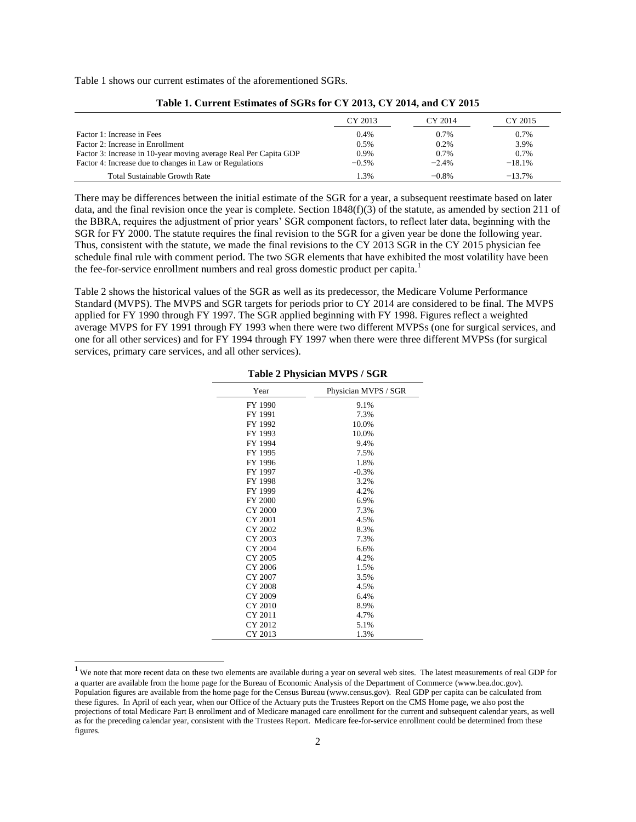Table 1 shows our current estimates of the aforementioned SGRs.

|                                                                  | CY 2013 | CY 2014 | CY 2015  |
|------------------------------------------------------------------|---------|---------|----------|
| Factor 1: Increase in Fees                                       | 0.4%    | 0.7%    | 0.7%     |
| Factor 2: Increase in Enrollment                                 | 0.5%    | 0.2%    | 3.9%     |
| Factor 3: Increase in 10-year moving average Real Per Capita GDP | $0.9\%$ | 0.7%    | 0.7%     |
| Factor 4: Increase due to changes in Law or Regulations          | $-0.5%$ | $-2.4%$ | $-18.1%$ |
| <b>Total Sustainable Growth Rate</b>                             | 1.3%    | $-0.8%$ | $-13.7%$ |

**Table 1. Current Estimates of SGRs for CY 2013, CY 2014, and CY 2015**

There may be differences between the initial estimate of the SGR for a year, a subsequent reestimate based on later data, and the final revision once the year is complete. Section  $1848(f)(3)$  of the statute, as amended by section 211 of the BBRA, requires the adjustment of prior years' SGR component factors, to reflect later data, beginning with the SGR for FY 2000. The statute requires the final revision to the SGR for a given year be done the following year. Thus, consistent with the statute, we made the final revisions to the CY 2013 SGR in the CY 2015 physician fee schedule final rule with comment period. The two SGR elements that have exhibited the most volatility have been the fee-for-service enrollment numbers and real gross domestic product per capita.<sup>1</sup>

Table 2 shows the historical values of the SGR as well as its predecessor, the Medicare Volume Performance Standard (MVPS). The MVPS and SGR targets for periods prior to CY 2014 are considered to be final. The MVPS applied for FY 1990 through FY 1997. The SGR applied beginning with FY 1998. Figures reflect a weighted average MVPS for FY 1991 through FY 1993 when there were two different MVPSs (one for surgical services, and one for all other services) and for FY 1994 through FY 1997 when there were three different MVPSs (for surgical services, primary care services, and all other services).

| Year           | Physician MVPS / SGR |
|----------------|----------------------|
| FY 1990        | 9.1%                 |
| FY 1991        | 7.3%                 |
| FY 1992        | 10.0%                |
| FY 1993        | 10.0%                |
| FY 1994        | 9.4%                 |
| FY 1995        | 7.5%                 |
| FY 1996        | 1.8%                 |
| FY 1997        | $-0.3%$              |
| FY 1998        | 3.2%                 |
| FY 1999        | 4.2%                 |
| <b>FY 2000</b> | 6.9%                 |
| CY 2000        | 7.3%                 |
| CY 2001        | 4.5%                 |
| CY 2002        | 8.3%                 |
| CY 2003        | 7.3%                 |
| CY 2004        | 6.6%                 |
| CY 2005        | 4.2%                 |
| CY 2006        | 1.5%                 |
| CY 2007        | 3.5%                 |
| CY 2008        | 4.5%                 |
| CY 2009        | 6.4%                 |
| CY 2010        | 8.9%                 |
| CY 2011        | 4.7%                 |
| CY 2012        | 5.1%                 |
| CY 2013        | 1.3%                 |
|                |                      |

#### **Table 2 Physician MVPS / SGR**

 $\overline{\phantom{a}}$ 

 $<sup>1</sup>$  We note that more recent data on these two elements are available during a year on several web sites. The latest measurements of real GDP for</sup> a quarter are available from the home page for the Bureau of Economic Analysis of the Department of Commerce (www.bea.doc.gov). Population figures are available from the home page for the Census Bureau (www.census.gov). Real GDP per capita can be calculated from these figures. In April of each year, when our Office of the Actuary puts the Trustees Report on the CMS Home page, we also post the projections of total Medicare Part B enrollment and of Medicare managed care enrollment for the current and subsequent calendar years, as well as for the preceding calendar year, consistent with the Trustees Report. Medicare fee-for-service enrollment could be determined from these figures.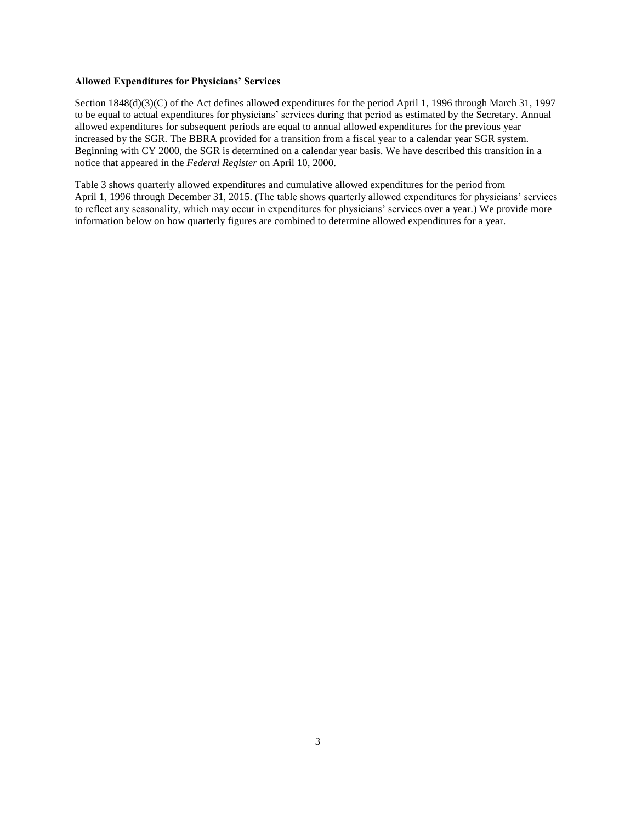## **Allowed Expenditures for Physicians' Services**

Section 1848(d)(3)(C) of the Act defines allowed expenditures for the period April 1, 1996 through March 31, 1997 to be equal to actual expenditures for physicians' services during that period as estimated by the Secretary. Annual allowed expenditures for subsequent periods are equal to annual allowed expenditures for the previous year increased by the SGR. The BBRA provided for a transition from a fiscal year to a calendar year SGR system. Beginning with CY 2000, the SGR is determined on a calendar year basis. We have described this transition in a notice that appeared in the *Federal Register* on April 10, 2000.

Table 3 shows quarterly allowed expenditures and cumulative allowed expenditures for the period from April 1, 1996 through December 31, 2015. (The table shows quarterly allowed expenditures for physicians' services to reflect any seasonality, which may occur in expenditures for physicians' services over a year.) We provide more information below on how quarterly figures are combined to determine allowed expenditures for a year.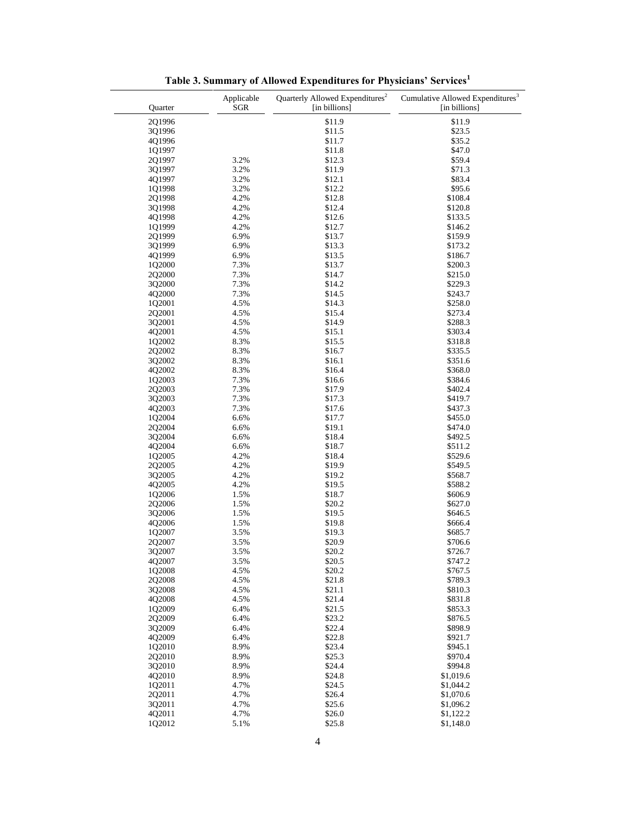| Quarter          | Applicable<br><b>SGR</b> | Quarterly Allowed Expenditures <sup>2</sup><br>[in billions] | Cumulative Allowed Expenditures <sup>3</sup><br>[in billions] |
|------------------|--------------------------|--------------------------------------------------------------|---------------------------------------------------------------|
| 2Q1996           |                          | \$11.9                                                       | \$11.9                                                        |
| 3Q1996           |                          | \$11.5                                                       | \$23.5                                                        |
| 4Q1996           |                          | \$11.7                                                       | \$35.2                                                        |
| 1Q1997           |                          | \$11.8                                                       | \$47.0                                                        |
| 2Q1997           | 3.2%                     | \$12.3                                                       | \$59.4                                                        |
| 3Q1997           | 3.2%                     | \$11.9                                                       | \$71.3                                                        |
| 4Q1997           | 3.2%                     | \$12.1                                                       | \$83.4                                                        |
| 1Q1998           | 3.2%                     | \$12.2                                                       | \$95.6                                                        |
| 2Q1998           | 4.2%                     | \$12.8                                                       | \$108.4                                                       |
| 3Q1998           | 4.2%                     | \$12.4                                                       | \$120.8                                                       |
| 4Q1998           | 4.2%                     | \$12.6                                                       | \$133.5                                                       |
| 1Q1999           | 4.2%                     | \$12.7                                                       | \$146.2                                                       |
| 2Q1999           | 6.9%                     | \$13.7                                                       | \$159.9                                                       |
| 3Q1999           | 6.9%                     | \$13.3                                                       | \$173.2                                                       |
| 4Q1999           | 6.9%                     | \$13.5                                                       | \$186.7                                                       |
| 1Q2000           | 7.3%                     | \$13.7                                                       | \$200.3                                                       |
| 2Q2000           | 7.3%                     | \$14.7                                                       | \$215.0                                                       |
| 3Q2000           | 7.3%                     | \$14.2                                                       | \$229.3                                                       |
| 4Q2000           | 7.3%                     | \$14.5                                                       | \$243.7                                                       |
| 1Q2001           | 4.5%                     | \$14.3                                                       | \$258.0                                                       |
| 2Q2001           | 4.5%                     | \$15.4                                                       | \$273.4                                                       |
| 302001           | 4.5%                     | \$14.9                                                       | \$288.3                                                       |
| 4Q2001           | 4.5%                     | \$15.1                                                       | \$303.4                                                       |
| 1Q2002           | 8.3%                     | \$15.5                                                       | \$318.8                                                       |
| 2Q2002           | 8.3%                     | \$16.7                                                       | \$335.5                                                       |
| 3Q2002           | 8.3%                     | \$16.1                                                       | \$351.6                                                       |
| 4Q2002           | 8.3%                     | \$16.4                                                       | \$368.0                                                       |
| 1Q2003           | 7.3%                     | \$16.6                                                       | \$384.6                                                       |
| 2Q2003           | 7.3%                     | \$17.9                                                       | \$402.4                                                       |
| 3Q2003           | 7.3%                     | \$17.3                                                       | \$419.7                                                       |
| 4Q2003           | 7.3%                     | \$17.6                                                       | \$437.3                                                       |
| 1Q2004           | 6.6%                     | \$17.7                                                       | \$455.0                                                       |
| 2Q2004           | 6.6%                     | \$19.1                                                       | \$474.0                                                       |
| 3Q2004           | 6.6%                     | \$18.4                                                       | \$492.5                                                       |
| 4Q2004           | 6.6%                     | \$18.7                                                       | \$511.2                                                       |
| 1Q2005           | 4.2%                     | \$18.4                                                       | \$529.6                                                       |
| 2Q2005           | 4.2%                     | \$19.9                                                       | \$549.5                                                       |
| 3Q2005           | 4.2%                     | \$19.2                                                       | \$568.7                                                       |
| 4Q2005           | 4.2%                     | \$19.5                                                       | \$588.2                                                       |
| 1Q2006           | 1.5%                     | \$18.7                                                       | \$606.9                                                       |
| 2Q2006<br>3Q2006 | 1.5%<br>1.5%             | \$20.2<br>\$19.5                                             | \$627.0<br>\$646.5                                            |
| 4Q2006           | 1.5%                     | \$19.8                                                       | \$666.4                                                       |
| 1Q2007           | 3.5%                     | \$19.3                                                       | \$685.7                                                       |
| 2Q2007           | 3.5%                     | \$20.9                                                       | \$706.6                                                       |
| 3Q2007           | 3.5%                     | \$20.2                                                       | \$726.7                                                       |
| 4Q2007           | 3.5%                     | \$20.5                                                       | \$747.2                                                       |
| 1Q2008           | 4.5%                     | \$20.2                                                       | \$767.5                                                       |
| 2Q2008           | 4.5%                     | \$21.8                                                       | \$789.3                                                       |
| 3Q2008           | 4.5%                     | \$21.1                                                       | \$810.3                                                       |
| 4Q2008           | 4.5%                     | \$21.4                                                       | \$831.8                                                       |
| 1Q2009           | 6.4%                     | \$21.5                                                       | \$853.3                                                       |
| 2Q2009           | 6.4%                     | \$23.2                                                       | \$876.5                                                       |
| 302009           | 6.4%                     | \$22.4                                                       | \$898.9                                                       |
| 402009           | 6.4%                     | \$22.8                                                       | \$921.7                                                       |
| 1Q2010           | 8.9%                     | \$23.4                                                       | \$945.1                                                       |
| 2Q2010           | 8.9%                     | \$25.3                                                       | \$970.4                                                       |
| 3Q2010           | 8.9%                     | \$24.4                                                       | \$994.8                                                       |
| 4Q2010           | 8.9%                     | \$24.8                                                       | \$1,019.6                                                     |
| 1Q2011           | 4.7%                     | \$24.5                                                       | \$1,044.2                                                     |
| 2Q2011           | 4.7%                     | \$26.4                                                       | \$1,070.6                                                     |
| 3Q2011           | 4.7%                     | \$25.6                                                       | \$1,096.2                                                     |
| 4Q2011           | 4.7%                     | \$26.0                                                       | \$1,122.2                                                     |
| 1Q2012           | 5.1%                     | \$25.8                                                       | \$1,148.0                                                     |

**Table 3. Summary of Allowed Expenditures for Physicians' Services[1](#page-4-0)**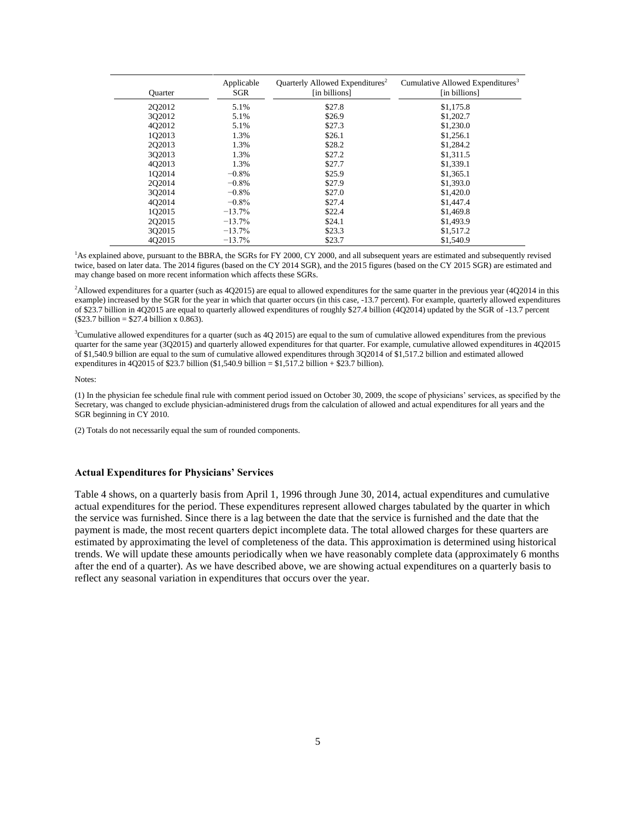| <b>Ouarter</b> | Applicable<br>SGR | Quarterly Allowed Expenditures <sup>2</sup><br>[in billions] | Cumulative Allowed Expenditures <sup>3</sup><br>[in billions] |
|----------------|-------------------|--------------------------------------------------------------|---------------------------------------------------------------|
| 202012         | 5.1%              | \$27.8                                                       | \$1,175.8                                                     |
| 302012         | 5.1%              | \$26.9                                                       | \$1,202.7                                                     |
| 402012         | 5.1%              | \$27.3                                                       | \$1,230.0                                                     |
| 102013         | 1.3%              | \$26.1                                                       | \$1,256.1                                                     |
| 202013         | 1.3%              | \$28.2                                                       | \$1,284.2                                                     |
| 302013         | 1.3%              | \$27.2                                                       | \$1,311.5                                                     |
| 402013         | 1.3%              | \$27.7                                                       | \$1,339.1                                                     |
| 102014         | $-0.8%$           | \$25.9                                                       | \$1,365.1                                                     |
| 202014         | $-0.8%$           | \$27.9                                                       | \$1,393.0                                                     |
| 302014         | $-0.8%$           | \$27.0                                                       | \$1,420.0                                                     |
| 402014         | $-0.8\%$          | \$27.4                                                       | \$1,447.4                                                     |
| 102015         | $-13.7%$          | \$22.4                                                       | \$1,469.8                                                     |
| 202015         | $-13.7\%$         | \$24.1                                                       | \$1,493.9                                                     |
| 302015         | $-13.7%$          | \$23.3                                                       | \$1,517.2                                                     |
| 402015         | $-13.7%$          | \$23.7                                                       | \$1,540.9                                                     |

<span id="page-4-0"></span><sup>1</sup>As explained above, pursuant to the BBRA, the SGRs for FY 2000, CY 2000, and all subsequent years are estimated and subsequently revised twice, based on later data. The 2014 figures (based on the CY 2014 SGR), and the 2015 figures (based on the CY 2015 SGR) are estimated and may change based on more recent information which affects these SGRs.

<span id="page-4-1"></span><sup>2</sup>Allowed expenditures for a quarter (such as 4Q2015) are equal to allowed expenditures for the same quarter in the previous year (4Q2014 in this example) increased by the SGR for the year in which that quarter occurs (in this case, -13.7 percent). For example, quarterly allowed expenditures of \$23.7 billion in 4Q2015 are equal to quarterly allowed expenditures of roughly \$27.4 billion (4Q2014) updated by the SGR of -13.7 percent (\$23.7 billion = \$27.4 billion x 0.863).

<span id="page-4-2"></span><sup>3</sup>Cumulative allowed expenditures for a quarter (such as 4Q 2015) are equal to the sum of cumulative allowed expenditures from the previous quarter for the same year (3Q2015) and quarterly allowed expenditures for that quarter. For example, cumulative allowed expenditures in 4Q2015 of \$1,540.9 billion are equal to the sum of cumulative allowed expenditures through 3Q2014 of \$1,517.2 billion and estimated allowed expenditures in 4Q2015 of \$23.7 billion (\$1,540.9 billion = \$1,517.2 billion + \$23.7 billion).

Notes:

(1) In the physician fee schedule final rule with comment period issued on October 30, 2009, the scope of physicians' services, as specified by the Secretary, was changed to exclude physician-administered drugs from the calculation of allowed and actual expenditures for all years and the SGR beginning in CY 2010.

(2) Totals do not necessarily equal the sum of rounded components.

## **Actual Expenditures for Physicians' Services**

Table 4 shows, on a quarterly basis from April 1, 1996 through June 30, 2014, actual expenditures and cumulative actual expenditures for the period. These expenditures represent allowed charges tabulated by the quarter in which the service was furnished. Since there is a lag between the date that the service is furnished and the date that the payment is made, the most recent quarters depict incomplete data. The total allowed charges for these quarters are estimated by approximating the level of completeness of the data. This approximation is determined using historical trends. We will update these amounts periodically when we have reasonably complete data (approximately 6 months after the end of a quarter). As we have described above, we are showing actual expenditures on a quarterly basis to reflect any seasonal variation in expenditures that occurs over the year.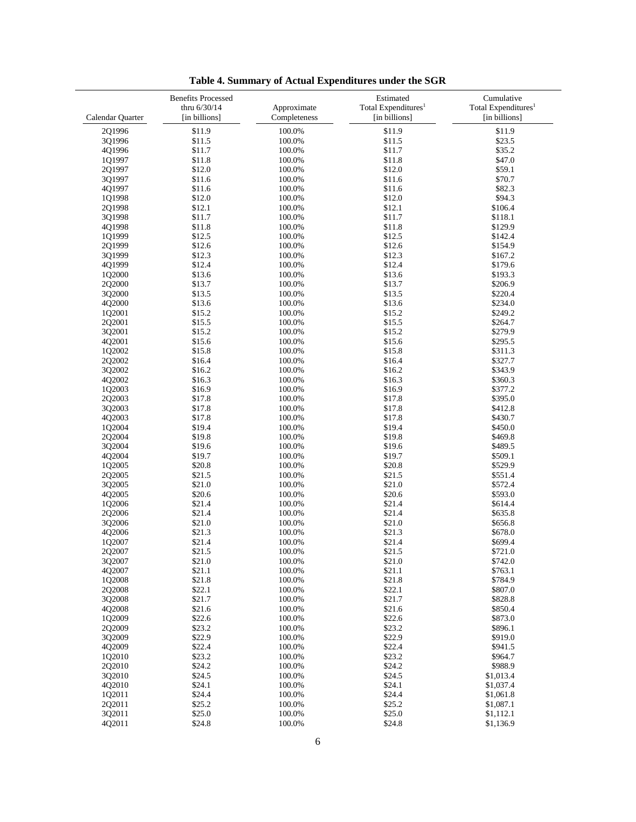|                  | <b>Benefits Processed</b><br>thru 6/30/14 | Approximate  | Estimated<br>Total Expenditures <sup>1</sup> | Cumulative<br>Total Expenditures <sup>1</sup> |
|------------------|-------------------------------------------|--------------|----------------------------------------------|-----------------------------------------------|
| Calendar Quarter | [in billions]                             | Completeness | [in billions]                                | [in billions]                                 |
| 2Q1996           | \$11.9                                    | 100.0%       | \$11.9                                       | \$11.9                                        |
| 3Q1996           | \$11.5                                    | 100.0%       | \$11.5                                       | \$23.5                                        |
| 4Q1996           | \$11.7                                    | 100.0%       | \$11.7                                       | \$35.2                                        |
| 101997           | \$11.8                                    | 100.0%       | \$11.8                                       | \$47.0                                        |
| 2Q1997           | \$12.0                                    | 100.0%       | \$12.0                                       | \$59.1                                        |
| 3Q1997           | \$11.6                                    | 100.0%       | \$11.6                                       | \$70.7                                        |
| 4Q1997           | \$11.6                                    | 100.0%       | \$11.6                                       | \$82.3                                        |
| 1Q1998           | \$12.0                                    | 100.0%       | \$12.0                                       | \$94.3                                        |
| 2Q1998           | \$12.1                                    | 100.0%       | \$12.1                                       | \$106.4                                       |
| 3Q1998           | \$11.7                                    | 100.0%       | \$11.7                                       | \$118.1                                       |
| 4Q1998           | \$11.8                                    | 100.0%       | \$11.8                                       | \$129.9                                       |
| 1Q1999           | \$12.5                                    | 100.0%       | \$12.5                                       | \$142.4                                       |
| 2Q1999           | \$12.6                                    | 100.0%       | \$12.6                                       | \$154.9                                       |
| 3Q1999           | \$12.3                                    | 100.0%       | \$12.3                                       | \$167.2                                       |
| 4Q1999           | \$12.4                                    | 100.0%       | \$12.4                                       | \$179.6                                       |
| 1Q2000           | \$13.6                                    | 100.0%       | \$13.6                                       | \$193.3                                       |
| 2Q2000           | \$13.7                                    | 100.0%       | \$13.7                                       | \$206.9                                       |
| 3Q2000           | \$13.5                                    | 100.0%       | \$13.5                                       | \$220.4                                       |
| 4Q2000           | \$13.6                                    | 100.0%       | \$13.6                                       | \$234.0                                       |
| 1Q2001           | \$15.2                                    | 100.0%       | \$15.2                                       | \$249.2                                       |
| 2Q2001           | \$15.5                                    | 100.0%       | \$15.5                                       | \$264.7                                       |
| 3Q2001           | \$15.2                                    | 100.0%       | \$15.2                                       | \$279.9                                       |
| 4Q2001           | \$15.6                                    | 100.0%       | \$15.6                                       | \$295.5                                       |
| 1Q2002           | \$15.8                                    | 100.0%       | \$15.8                                       | \$311.3                                       |
| 2Q2002           | \$16.4                                    | 100.0%       | \$16.4                                       | \$327.7                                       |
| 3Q2002           | \$16.2                                    | 100.0%       | \$16.2                                       | \$343.9                                       |
| 4Q2002           | \$16.3                                    | 100.0%       | \$16.3                                       | \$360.3                                       |
| 1Q2003           | \$16.9                                    | 100.0%       | \$16.9                                       | \$377.2                                       |
| 2Q2003           | \$17.8                                    | 100.0%       | \$17.8                                       | \$395.0                                       |
| 3Q2003           | \$17.8                                    | 100.0%       | \$17.8                                       | \$412.8                                       |
| 4Q2003           | \$17.8                                    | 100.0%       | \$17.8                                       | \$430.7                                       |
| 1Q2004           | \$19.4                                    | 100.0%       | \$19.4                                       | \$450.0                                       |
| 2Q2004           | \$19.8                                    | 100.0%       | \$19.8                                       | \$469.8                                       |
| 3Q2004           | \$19.6                                    | 100.0%       | \$19.6                                       | \$489.5                                       |
| 4Q2004           | \$19.7                                    | 100.0%       | \$19.7                                       | \$509.1                                       |
| 1Q2005           | \$20.8                                    | 100.0%       | \$20.8                                       | \$529.9                                       |
| 2Q2005           | \$21.5                                    | 100.0%       | \$21.5                                       | \$551.4                                       |
| 3Q2005           | \$21.0                                    | 100.0%       | \$21.0                                       | \$572.4                                       |
| 4Q2005           | \$20.6                                    | 100.0%       | \$20.6                                       | \$593.0                                       |
| 1Q2006           | \$21.4                                    | 100.0%       | \$21.4                                       | \$614.4                                       |
| 2Q2006           | \$21.4                                    | 100.0%       | \$21.4                                       | \$635.8                                       |
| 3Q2006           | \$21.0                                    | 100.0%       | \$21.0                                       | \$656.8                                       |
| 4Q2006           | \$21.3                                    | 100.0%       | \$21.3                                       | \$678.0                                       |
| 1Q2007           | \$21.4                                    | 100.0%       | \$21.4                                       | \$699.4                                       |
| 2Q2007           | \$21.5                                    | 100.0%       | \$21.5                                       | \$721.0                                       |
| 3Q2007           | \$21.0                                    | 100.0%       | \$21.0                                       | \$742.0                                       |
| 4Q2007           | \$21.1                                    | 100.0%       | \$21.1                                       | \$763.1                                       |
| 1Q2008           | \$21.8                                    | 100.0%       | \$21.8                                       | \$784.9                                       |
| 2Q2008           | \$22.1                                    | 100.0%       | \$22.1                                       | \$807.0                                       |
| 3Q2008           | \$21.7                                    | 100.0%       | \$21.7                                       | \$828.8                                       |
| 4Q2008           | \$21.6                                    | 100.0%       | \$21.6                                       | \$850.4                                       |
| 1Q2009           | \$22.6                                    | 100.0%       | \$22.6                                       | \$873.0                                       |
| 2Q2009           | \$23.2                                    | 100.0%       | \$23.2                                       | \$896.1                                       |
| 3Q2009           | \$22.9                                    | 100.0%       | \$22.9                                       | \$919.0                                       |
| 4Q2009           | \$22.4                                    | 100.0%       | \$22.4                                       | \$941.5                                       |
| 1Q2010           | \$23.2                                    | 100.0%       | \$23.2                                       | \$964.7                                       |
| 2Q2010           | \$24.2                                    | 100.0%       | \$24.2                                       | \$988.9                                       |
| 3Q2010           | \$24.5                                    | 100.0%       | \$24.5                                       | \$1,013.4                                     |
| 4Q2010           | \$24.1                                    | 100.0%       | \$24.1                                       | \$1,037.4                                     |
| 1Q2011           | \$24.4                                    | 100.0%       | \$24.4                                       | \$1,061.8                                     |
| 2Q2011           | \$25.2                                    | 100.0%       | \$25.2                                       | \$1,087.1                                     |
| 3Q2011           | \$25.0                                    | 100.0%       | \$25.0                                       | \$1,112.1                                     |
| 4Q2011           | \$24.8                                    | 100.0%       | \$24.8                                       | \$1,136.9                                     |

**Table 4. Summary of Actual Expenditures under the SGR**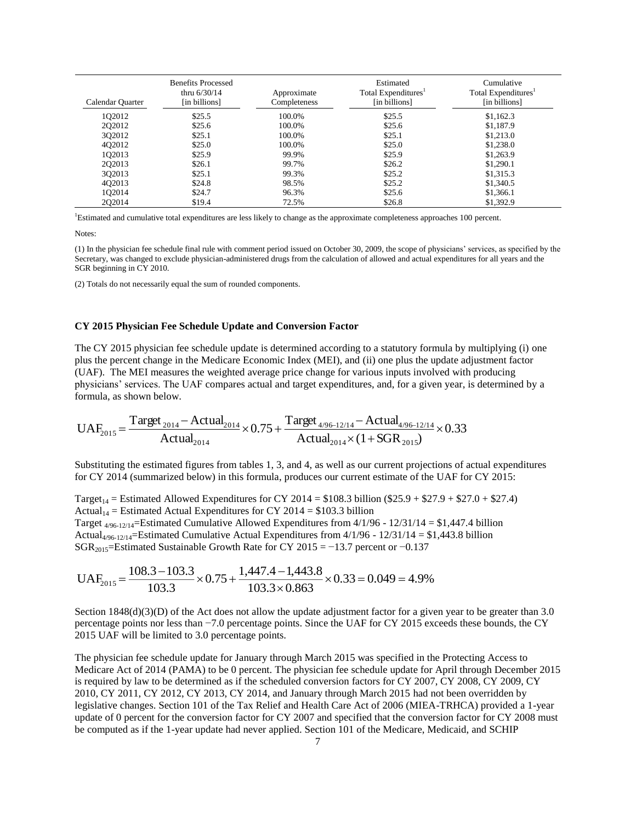| Calendar Quarter | <b>Benefits Processed</b><br>thru $6/30/14$<br>[in billions] | Approximate<br>Completeness | Estimated<br>Total Expenditures <sup>1</sup><br>[in billions] | Cumulative<br>Total Expenditures <sup>1</sup><br>[in billions] |
|------------------|--------------------------------------------------------------|-----------------------------|---------------------------------------------------------------|----------------------------------------------------------------|
| 102012           | \$25.5                                                       | 100.0%                      | \$25.5                                                        | \$1,162.3                                                      |
| 2Q2012           | \$25.6                                                       | 100.0%                      | \$25.6                                                        | \$1,187.9                                                      |
| 3Q2012           | \$25.1                                                       | 100.0%                      | \$25.1                                                        | \$1,213.0                                                      |
| 402012           | \$25.0                                                       | 100.0%                      | \$25.0                                                        | \$1,238.0                                                      |
| 1Q2013           | \$25.9                                                       | 99.9%                       | \$25.9                                                        | \$1,263.9                                                      |
| 202013           | \$26.1                                                       | 99.7%                       | \$26.2                                                        | \$1,290.1                                                      |
| 302013           | \$25.1                                                       | 99.3%                       | \$25.2                                                        | \$1,315.3                                                      |
| 402013           | \$24.8                                                       | 98.5%                       | \$25.2                                                        | \$1,340.5                                                      |
| 1Q2014           | \$24.7                                                       | 96.3%                       | \$25.6                                                        | \$1,366.1                                                      |
| 202014           | \$19.4                                                       | 72.5%                       | \$26.8                                                        | \$1,392.9                                                      |

<span id="page-6-0"></span><sup>1</sup>Estimated and cumulative total expenditures are less likely to change as the approximate completeness approaches 100 percent.

Notes:

(1) In the physician fee schedule final rule with comment period issued on October 30, 2009, the scope of physicians' services, as specified by the Secretary, was changed to exclude physician-administered drugs from the calculation of allowed and actual expenditures for all years and the SGR beginning in CY 2010.

(2) Totals do not necessarily equal the sum of rounded components.

#### **CY 2015 Physician Fee Schedule Update and Conversion Factor**

The CY 2015 physician fee schedule update is determined according to a statutory formula by multiplying (i) one plus the percent change in the Medicare Economic Index (MEI), and (ii) one plus the update adjustment factor (UAF). The MEI measures the weighted average price change for various inputs involved with producing physicians' services. The UAF compares actual and target expenditures, and, for a given year, is determined by a formula, as shown below.

$$
UAF_{2015} = \frac{Target_{2014} - Actual_{2014}}{Actual_{2014}} \times 0.75 + \frac{Target_{4/96-12/14} - Actual_{4/96-12/14}}{Actual_{2014} \times (1 + SGR_{2015})} \times 0.33
$$

Substituting the estimated figures from tables 1, 3, and 4, as well as our current projections of actual expenditures for CY 2014 (summarized below) in this formula, produces our current estimate of the UAF for CY 2015:

Target<sub>14</sub> = Estimated Allowed Expenditures for CY 2014 = \$108.3 billion (\$25.9 + \$27.9 + \$27.0 + \$27.4) Actual<sub>14</sub> = Estimated Actual Expenditures for CY 2014 = \$103.3 billion Target  $4/96-12/14$ =Estimated Cumulative Allowed Expenditures from  $4/1/96$  -  $12/31/14 = $1,447.4$  billion Actual<sub>4/96-12/14</sub>=Estimated Cumulative Actual Expenditures from  $4/1/96 - 12/31/14 = $1,443.8$  billion SGR<sub>2015</sub>=Estimated Sustainable Growth Rate for CY 2015 = −13.7 percent or −0.137

$$
UAF_{2015} = \frac{108.3 - 103.3}{103.3} \times 0.75 + \frac{1,447.4 - 1,443.8}{103.3 \times 0.863} \times 0.33 = 0.049 = 4.9\%
$$

Section  $1848(d)(3)(D)$  of the Act does not allow the update adjustment factor for a given year to be greater than 3.0 percentage points nor less than −7.0 percentage points. Since the UAF for CY 2015 exceeds these bounds, the CY 2015 UAF will be limited to 3.0 percentage points.

The physician fee schedule update for January through March 2015 was specified in the Protecting Access to Medicare Act of 2014 (PAMA) to be 0 percent. The physician fee schedule update for April through December 2015 is required by law to be determined as if the scheduled conversion factors for CY 2007, CY 2008, CY 2009, CY 2010, CY 2011, CY 2012, CY 2013, CY 2014, and January through March 2015 had not been overridden by legislative changes. Section 101 of the Tax Relief and Health Care Act of 2006 (MIEA-TRHCA) provided a 1-year update of 0 percent for the conversion factor for CY 2007 and specified that the conversion factor for CY 2008 must be computed as if the 1-year update had never applied. Section 101 of the Medicare, Medicaid, and SCHIP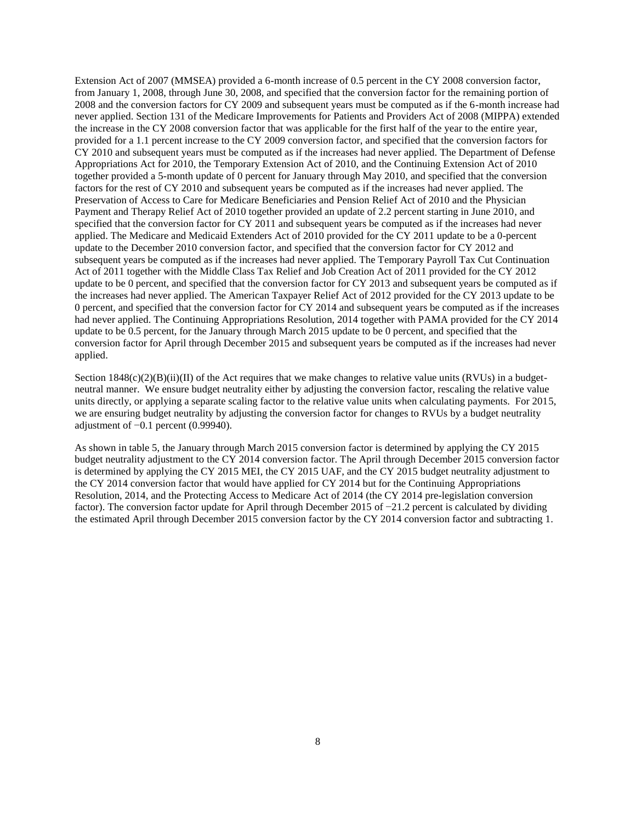Extension Act of 2007 (MMSEA) provided a 6-month increase of 0.5 percent in the CY 2008 conversion factor, from January 1, 2008, through June 30, 2008, and specified that the conversion factor for the remaining portion of 2008 and the conversion factors for CY 2009 and subsequent years must be computed as if the 6-month increase had never applied. Section 131 of the Medicare Improvements for Patients and Providers Act of 2008 (MIPPA) extended the increase in the CY 2008 conversion factor that was applicable for the first half of the year to the entire year, provided for a 1.1 percent increase to the CY 2009 conversion factor, and specified that the conversion factors for CY 2010 and subsequent years must be computed as if the increases had never applied. The Department of Defense Appropriations Act for 2010, the Temporary Extension Act of 2010, and the Continuing Extension Act of 2010 together provided a 5-month update of 0 percent for January through May 2010, and specified that the conversion factors for the rest of CY 2010 and subsequent years be computed as if the increases had never applied. The Preservation of Access to Care for Medicare Beneficiaries and Pension Relief Act of 2010 and the Physician Payment and Therapy Relief Act of 2010 together provided an update of 2.2 percent starting in June 2010, and specified that the conversion factor for CY 2011 and subsequent years be computed as if the increases had never applied. The Medicare and Medicaid Extenders Act of 2010 provided for the CY 2011 update to be a 0-percent update to the December 2010 conversion factor, and specified that the conversion factor for CY 2012 and subsequent years be computed as if the increases had never applied. The Temporary Payroll Tax Cut Continuation Act of 2011 together with the Middle Class Tax Relief and Job Creation Act of 2011 provided for the CY 2012 update to be 0 percent, and specified that the conversion factor for CY 2013 and subsequent years be computed as if the increases had never applied. The American Taxpayer Relief Act of 2012 provided for the CY 2013 update to be 0 percent, and specified that the conversion factor for CY 2014 and subsequent years be computed as if the increases had never applied. The Continuing Appropriations Resolution, 2014 together with PAMA provided for the CY 2014 update to be 0.5 percent, for the January through March 2015 update to be 0 percent, and specified that the conversion factor for April through December 2015 and subsequent years be computed as if the increases had never applied.

Section  $1848(c)(2)(B)(ii)(II)$  of the Act requires that we make changes to relative value units (RVUs) in a budgetneutral manner. We ensure budget neutrality either by adjusting the conversion factor, rescaling the relative value units directly, or applying a separate scaling factor to the relative value units when calculating payments. For 2015, we are ensuring budget neutrality by adjusting the conversion factor for changes to RVUs by a budget neutrality adjustment of −0.1 percent (0.99940).

As shown in table 5, the January through March 2015 conversion factor is determined by applying the CY 2015 budget neutrality adjustment to the CY 2014 conversion factor. The April through December 2015 conversion factor is determined by applying the CY 2015 MEI, the CY 2015 UAF, and the CY 2015 budget neutrality adjustment to the CY 2014 conversion factor that would have applied for CY 2014 but for the Continuing Appropriations Resolution, 2014, and the Protecting Access to Medicare Act of 2014 (the CY 2014 pre-legislation conversion factor). The conversion factor update for April through December 2015 of −21.2 percent is calculated by dividing the estimated April through December 2015 conversion factor by the CY 2014 conversion factor and subtracting 1.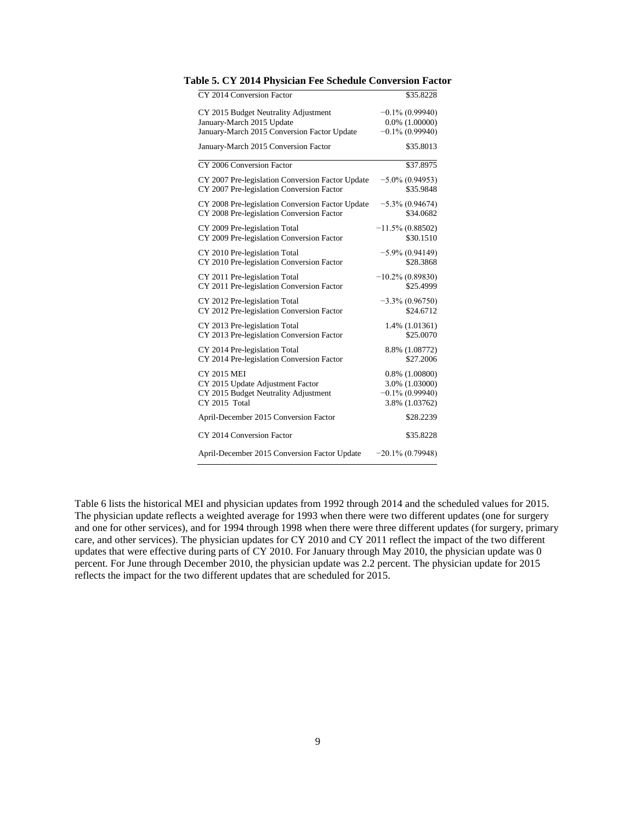| CY 2014 Conversion Factor                        | \$35.8228           |
|--------------------------------------------------|---------------------|
| CY 2015 Budget Neutrality Adjustment             | $-0.1\%$ (0.99940)  |
| January-March 2015 Update                        | $0.0\%$ $(1.00000)$ |
| January-March 2015 Conversion Factor Update      | $-0.1\%$ (0.99940)  |
| January-March 2015 Conversion Factor             | \$35.8013           |
| CY 2006 Conversion Factor                        | \$37.8975           |
| CY 2007 Pre-legislation Conversion Factor Update | $-5.0\%$ (0.94953)  |
| CY 2007 Pre-legislation Conversion Factor        | \$35.9848           |
| CY 2008 Pre-legislation Conversion Factor Update | $-5.3\%$ (0.94674)  |
| CY 2008 Pre-legislation Conversion Factor        | \$34.0682           |
| CY 2009 Pre-legislation Total                    | $-11.5\%$ (0.88502) |
| CY 2009 Pre-legislation Conversion Factor        | \$30.1510           |
| CY 2010 Pre-legislation Total                    | $-5.9\% (0.94149)$  |
| CY 2010 Pre-legislation Conversion Factor        | \$28.3868           |
| CY 2011 Pre-legislation Total                    | $-10.2\%$ (0.89830) |
| CY 2011 Pre-legislation Conversion Factor        | \$25.4999           |
| CY 2012 Pre-legislation Total                    | $-3.3\% (0.96750)$  |
| CY 2012 Pre-legislation Conversion Factor        | \$24.6712           |
| CY 2013 Pre-legislation Total                    | 1.4% (1.01361)      |
| CY 2013 Pre-legislation Conversion Factor        | \$25.0070           |
| CY 2014 Pre-legislation Total                    | 8.8% (1.08772)      |
| CY 2014 Pre-legislation Conversion Factor        | \$27.2006           |
| <b>CY 2015 MEI</b>                               | $0.8\%$ $(1.00800)$ |
| CY 2015 Update Adjustment Factor                 | 3.0% (1.03000)      |
| CY 2015 Budget Neutrality Adjustment             | $-0.1\%$ (0.99940)  |
| CY 2015 Total                                    | 3.8% (1.03762)      |
| April-December 2015 Conversion Factor            | \$28.2239           |
| CY 2014 Conversion Factor                        | \$35.8228           |
| April-December 2015 Conversion Factor Update     | $-20.1\%$ (0.79948) |

**Table 5. CY 2014 Physician Fee Schedule Conversion Factor**

Table 6 lists the historical MEI and physician updates from 1992 through 2014 and the scheduled values for 2015. The physician update reflects a weighted average for 1993 when there were two different updates (one for surgery and one for other services), and for 1994 through 1998 when there were three different updates (for surgery, primary care, and other services). The physician updates for CY 2010 and CY 2011 reflect the impact of the two different updates that were effective during parts of CY 2010. For January through May 2010, the physician update was 0 percent. For June through December 2010, the physician update was 2.2 percent. The physician update for 2015 reflects the impact for the two different updates that are scheduled for 2015.